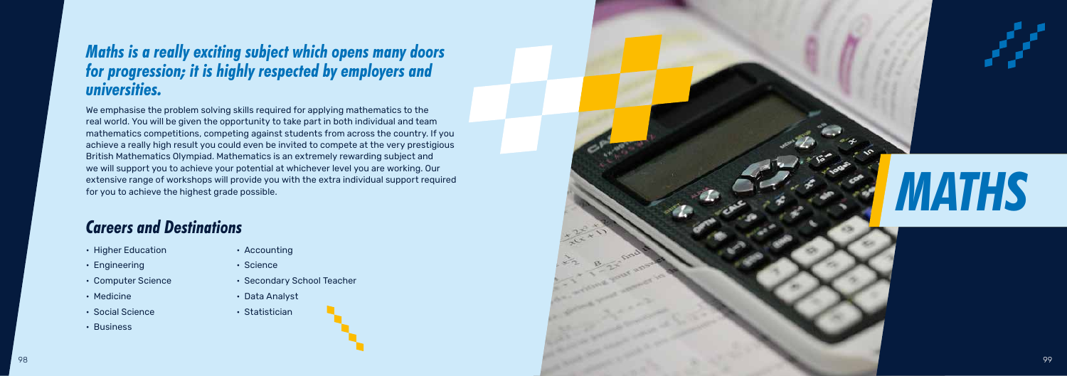• Higher Education

- Engineering
- Computer Science
- Medicine
- Social Science
- Business

• Accounting

- Science
- Secondary School Teacher
- Data Analyst
- Statistician

### *Careers and Destinations*

### *Maths is a really exciting subject which opens many doors for progression; it is highly respected by employers and universities.*

We emphasise the problem solving skills required for applying mathematics to the real world. You will be given the opportunity to take part in both individual and team mathematics competitions, competing against students from across the country. If you achieve a really high result you could even be invited to compete at the very prestigious British Mathematics Olympiad. Mathematics is an extremely rewarding subject and we will support you to achieve your potential at whichever level you are working. Our extensive range of workshops will provide you with the extra individual support required for you to achieve the highest grade possible.





# *MATHS*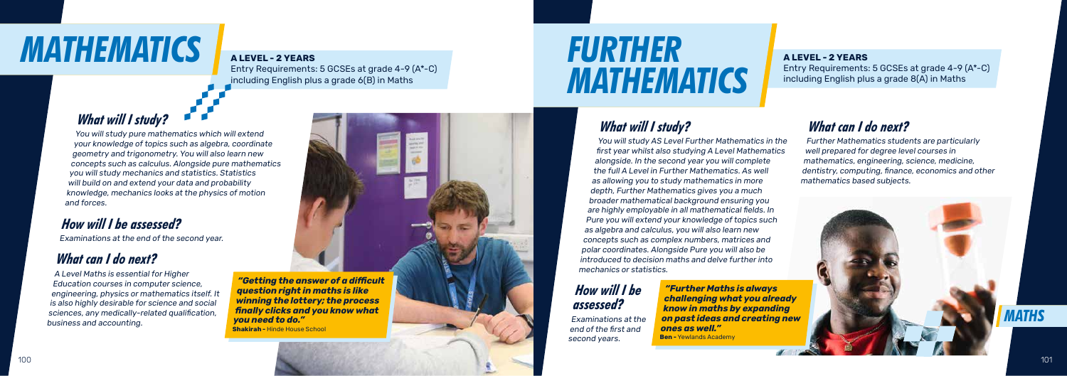

Entry Requirements: 5 GCSEs at grade 4-9 Entry Requirements: 5 GCSEs at grade 4-9 (A\*-C) including English plus a grade  $8(A)$  in Maths

## **MATHEMATICS A ALEVEL - 2 YEARS**

Entry Requirements: 5 GCSEs at grade 4-9 (A\*-C) including English plus a grade 6(B) in Maths

#### *What will I study?*

You will study pure mathematics which will extend your knowledge of topics such as algebra, coordinate geometry and trigonometry. You will also learn new concepts such as calculus. Alongside pure mathematics you will study mechanics and statistics. Statistics will build on and extend your data and probability knowledge, mechanics looks at the physics of motion and forces.

#### *How will I be assessed?*

#### **A LEVEL - 2 YEARS A LEVEL - 2 YEARS**

Examinations at the end of the second year.

#### *What can I do next?*

A Level Maths is essential for Higher Education courses in computer science, engineering, physics or mathematics itself. It is also highly desirable for science and social sciences, any medically-related qualification, business and accounting.

*"Getting the answer of a difficult question right in maths is like winning the lottery; the process finally clicks and you know what you need to do."*  **Shakirah -** Hinde House School

## *FURTHER MATHEMATICS*

#### *What will I study?*

You will study AS Level Further Mathematics in the first year whilst also studying A Level Mathematics alongside. In the second year you will complete the full A Level in Further Mathematics. As well as allowing you to study mathematics in more depth, Further Mathematics gives you a much broader mathematical background ensuring you are highly employable in all mathematical fields. In Pure you will extend your knowledge of topics such as algebra and calculus, you will also learn new concepts such as complex numbers, matrices and polar coordinates. Alongside Pure you will also be introduced to decision maths and delve further into mechanics or statistics.

#### *How will I be assessed?*

Examinations at the end of the first and second years.

#### *What can I do next?*

Further Mathematics students are particularly well prepared for degree level courses in mathematics, engineering, science, medicine, dentistry, computing, finance, economics and other mathematics based subjects.

*"Further Maths is always challenging what you already know in maths by expanding on past ideas and creating new ones as well."*  **Ben -** Yewlands Academy